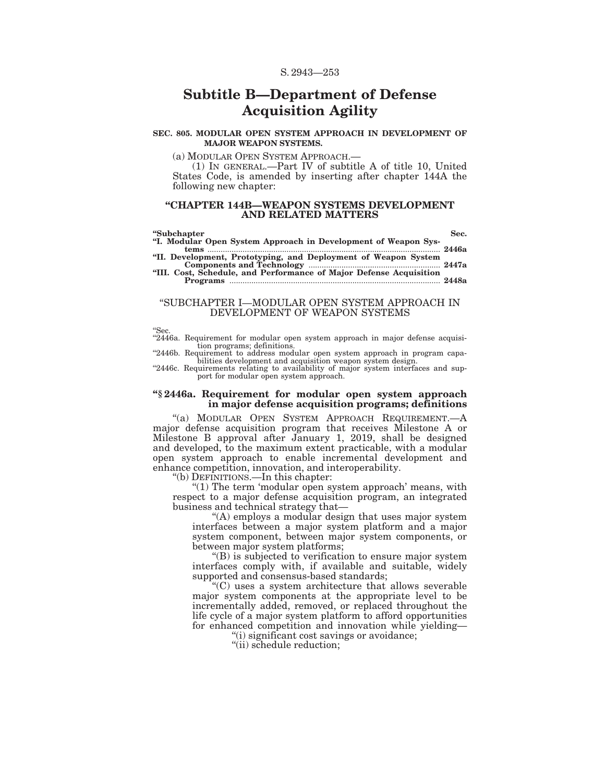# **Subtitle B—Department of Defense Acquisition Agility**

#### **SEC. 805. MODULAR OPEN SYSTEM APPROACH IN DEVELOPMENT OF MAJOR WEAPON SYSTEMS.**

(a) MODULAR OPEN SYSTEM APPROACH.—

(1) IN GENERAL.—Part IV of subtitle A of title 10, United States Code, is amended by inserting after chapter 144A the following new chapter:

#### **''CHAPTER 144B—WEAPON SYSTEMS DEVELOPMENT AND RELATED MATTERS**

#### **''Subchapter Sec. ''I. Modular Open System Approach in Development of Weapon Systems** .......................................................................................................... **2446a ''II. Development, Prototyping, and Deployment of Weapon System Components and Technology** ............................................................ **2447a ''III. Cost, Schedule, and Performance of Major Defense Acquisition**

**Programs** ................................................................................................ **2448a** 

### ''SUBCHAPTER I—MODULAR OPEN SYSTEM APPROACH IN DEVELOPMENT OF WEAPON SYSTEMS

"Sec.<br>"2446a. Requirement for modular open system approach in major defense acquisition programs; definitions. ''2446b. Requirement to address modular open system approach in program capa-

bilities development and acquisition weapon system design. ''2446c. Requirements relating to availability of major system interfaces and sup-

port for modular open system approach.

#### **''§ 2446a. Requirement for modular open system approach in major defense acquisition programs; definitions**

''(a) MODULAR OPEN SYSTEM APPROACH REQUIREMENT.—A major defense acquisition program that receives Milestone A or Milestone B approval after January 1, 2019, shall be designed and developed, to the maximum extent practicable, with a modular open system approach to enable incremental development and enhance competition, innovation, and interoperability.

''(b) DEFINITIONS.—In this chapter:

" $(1)$  The term 'modular open system approach' means, with respect to a major defense acquisition program, an integrated business and technical strategy that—

"(A) employs a modular design that uses major system interfaces between a major system platform and a major system component, between major system components, or between major system platforms;

''(B) is subjected to verification to ensure major system interfaces comply with, if available and suitable, widely supported and consensus-based standards;

''(C) uses a system architecture that allows severable major system components at the appropriate level to be incrementally added, removed, or replaced throughout the life cycle of a major system platform to afford opportunities for enhanced competition and innovation while yielding—

''(i) significant cost savings or avoidance;

"(ii) schedule reduction;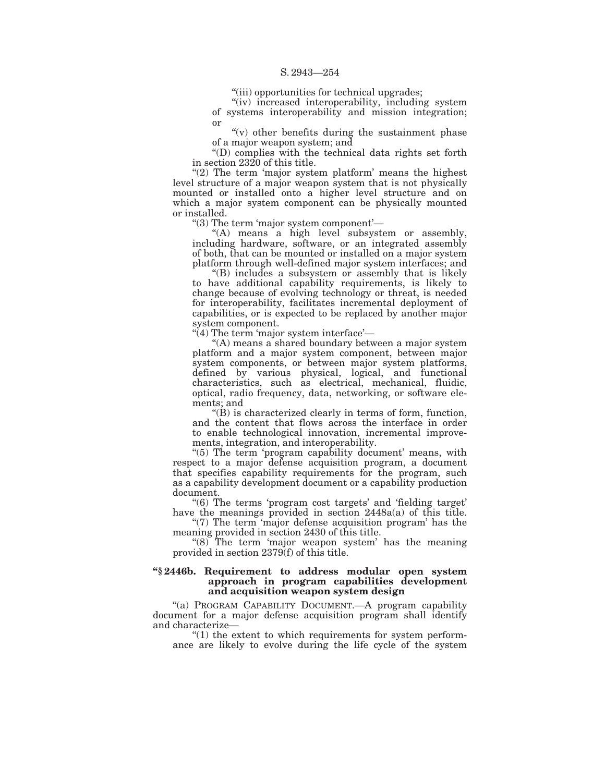''(iii) opportunities for technical upgrades;

"(iv) increased interoperability, including system of systems interoperability and mission integration; or

 $''(v)$  other benefits during the sustainment phase of a major weapon system; and

''(D) complies with the technical data rights set forth in section 2320 of this title.

" $(2)$  The term 'major system platform' means the highest level structure of a major weapon system that is not physically mounted or installed onto a higher level structure and on which a major system component can be physically mounted or installed.

''(3) The term 'major system component'—

"(A) means a high level subsystem or assembly, including hardware, software, or an integrated assembly of both, that can be mounted or installed on a major system platform through well-defined major system interfaces; and

''(B) includes a subsystem or assembly that is likely to have additional capability requirements, is likely to change because of evolving technology or threat, is needed for interoperability, facilitates incremental deployment of capabilities, or is expected to be replaced by another major system component.

 $\dddot{q}$  The term 'major system interface'—

''(A) means a shared boundary between a major system platform and a major system component, between major system components, or between major system platforms, defined by various physical, logical, and functional characteristics, such as electrical, mechanical, fluidic, optical, radio frequency, data, networking, or software elements; and

 $\mathcal{L}(B)$  is characterized clearly in terms of form, function, and the content that flows across the interface in order to enable technological innovation, incremental improvements, integration, and interoperability.

"(5) The term 'program capability document' means, with respect to a major defense acquisition program, a document that specifies capability requirements for the program, such as a capability development document or a capability production document.

''(6) The terms 'program cost targets' and 'fielding target' have the meanings provided in section 2448a(a) of this title.

" $(7)$  The term 'major defense acquisition program' has the meaning provided in section 2430 of this title.

"(8) The term 'major weapon system' has the meaning provided in section 2379(f) of this title.

### **''§ 2446b. Requirement to address modular open system approach in program capabilities development and acquisition weapon system design**

"(a) PROGRAM CAPABILITY DOCUMENT. A program capability document for a major defense acquisition program shall identify and characterize—

 $''(1)$  the extent to which requirements for system performance are likely to evolve during the life cycle of the system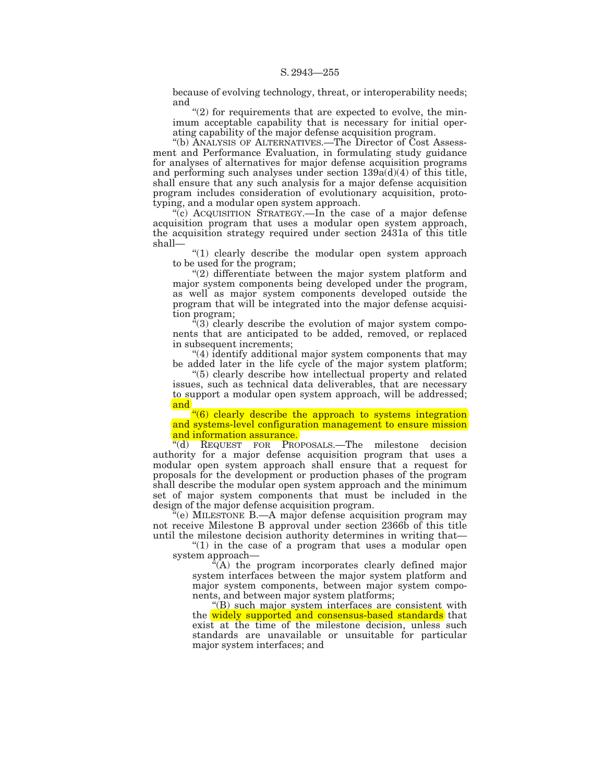because of evolving technology, threat, or interoperability needs; and

 $(2)$  for requirements that are expected to evolve, the minimum acceptable capability that is necessary for initial operating capability of the major defense acquisition program.

''(b) ANALYSIS OF ALTERNATIVES.—The Director of Cost Assessment and Performance Evaluation, in formulating study guidance for analyses of alternatives for major defense acquisition programs and performing such analyses under section  $139a(d)(4)$  of this title, shall ensure that any such analysis for a major defense acquisition program includes consideration of evolutionary acquisition, prototyping, and a modular open system approach.

"(c) ACQUISITION STRATEGY.—In the case of a major defense acquisition program that uses a modular open system approach, the acquisition strategy required under section 2431a of this title shall—

"(1) clearly describe the modular open system approach to be used for the program;

''(2) differentiate between the major system platform and major system components being developed under the program, as well as major system components developed outside the program that will be integrated into the major defense acquisition program;

 $\sqrt[3]{(3)}$  clearly describe the evolution of major system components that are anticipated to be added, removed, or replaced in subsequent increments:

''(4) identify additional major system components that may be added later in the life cycle of the major system platform;

''(5) clearly describe how intellectual property and related issues, such as technical data deliverables, that are necessary to support a modular open system approach, will be addressed; and

''(6) clearly describe the approach to systems integration and systems-level configuration management to ensure mission and information assurance.

''(d) REQUEST FOR PROPOSALS.—The milestone decision authority for a major defense acquisition program that uses a modular open system approach shall ensure that a request for proposals for the development or production phases of the program shall describe the modular open system approach and the minimum set of major system components that must be included in the design of the major defense acquisition program.

 $\tilde{H}$ (e) MILESTONE B.—A major defense acquisition program may not receive Milestone B approval under section 2366b of this title until the milestone decision authority determines in writing that—

" $(1)$  in the case of a program that uses a modular open system approach—

 $\sqrt[a]{(A)}$  the program incorporates clearly defined major system interfaces between the major system platform and major system components, between major system components, and between major system platforms;

''(B) such major system interfaces are consistent with the widely supported and consensus-based standards that exist at the time of the milestone decision, unless such standards are unavailable or unsuitable for particular major system interfaces; and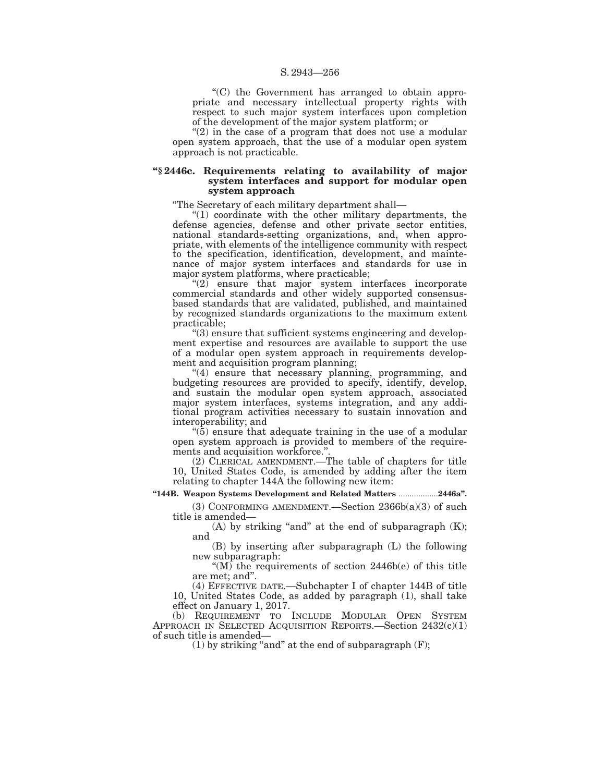''(C) the Government has arranged to obtain appropriate and necessary intellectual property rights with respect to such major system interfaces upon completion of the development of the major system platform; or

" $(2)$  in the case of a program that does not use a modular open system approach, that the use of a modular open system approach is not practicable.

## **''§ 2446c. Requirements relating to availability of major system interfaces and support for modular open system approach**

''The Secretary of each military department shall—

"(1) coordinate with the other military departments, the defense agencies, defense and other private sector entities, national standards-setting organizations, and, when appropriate, with elements of the intelligence community with respect to the specification, identification, development, and maintenance of major system interfaces and standards for use in major system platforms, where practicable;

 $(2)$  ensure that major system interfaces incorporate commercial standards and other widely supported consensusbased standards that are validated, published, and maintained by recognized standards organizations to the maximum extent practicable;

 $\degree$ (3) ensure that sufficient systems engineering and development expertise and resources are available to support the use of a modular open system approach in requirements development and acquisition program planning;

"(4) ensure that necessary planning, programming, and budgeting resources are provided to specify, identify, develop, and sustain the modular open system approach, associated major system interfaces, systems integration, and any additional program activities necessary to sustain innovation and interoperability; and

 $(5)$  ensure that adequate training in the use of a modular open system approach is provided to members of the requirements and acquisition workforce.''.

(2) CLERICAL AMENDMENT.—The table of chapters for title 10, United States Code, is amended by adding after the item relating to chapter 144A the following new item:

## **''144B. Weapon Systems Development and Related Matters** ...................**2446a''.**

(3) CONFORMING AMENDMENT.—Section 2366b(a)(3) of such title is amended—

(A) by striking "and" at the end of subparagraph  $(K);$ and

(B) by inserting after subparagraph (L) the following new subparagraph:

"( $M$ ) the requirements of section 2446b(e) of this title are met; and''.

(4) EFFECTIVE DATE.—Subchapter I of chapter 144B of title 10, United States Code, as added by paragraph (1), shall take effect on January 1, 2017.

(b) REQUIREMENT TO INCLUDE MODULAR OPEN SYSTEM APPROACH IN SELECTED ACQUISITION REPORTS.—Section 2432(c)(1) of such title is amended—

(1) by striking "and" at the end of subparagraph  $(F)$ ;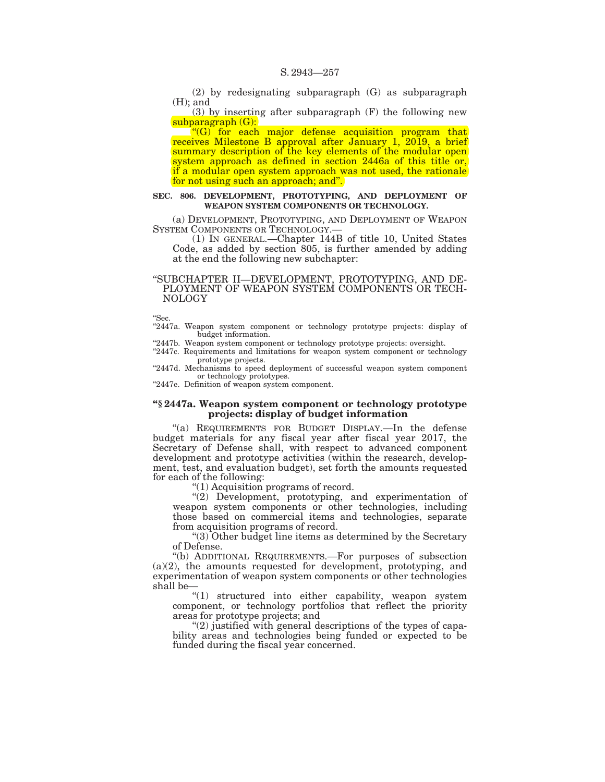(2) by redesignating subparagraph (G) as subparagraph (H); and

(3) by inserting after subparagraph (F) the following new subparagraph (G):

 $\left( \frac{u}{G} \right)$  for each major defense acquisition program that receives Milestone B approval after January 1, 2019, a brief summary description of the key elements of the modular open system approach as defined in section 2446a of this title or, if a modular open system approach was not used, the rationale for not using such an approach; and".

#### **SEC. 806. DEVELOPMENT, PROTOTYPING, AND DEPLOYMENT OF WEAPON SYSTEM COMPONENTS OR TECHNOLOGY.**

(a) DEVELOPMENT, PROTOTYPING, AND DEPLOYMENT OF WEAPON

 $(1)$  In GENERAL.—Chapter 144B of title 10, United States Code, as added by section 805, is further amended by adding at the end the following new subchapter:

#### ''SUBCHAPTER II—DEVELOPMENT, PROTOTYPING, AND DE-PLOYMENT OF WEAPON SYSTEM COMPONENTS OR TECH-NOLOGY

''Sec.

"2447a. Weapon system component or technology prototype projects: display of budget information.

"2447b. Weapon system component or technology prototype projects: oversight.

''2447c. Requirements and limitations for weapon system component or technology prototype projects.

"2447d. Mechanisms to speed deployment of successful weapon system component or technology prototypes.

"2447e. Definition of weapon system component.

## **''§ 2447a. Weapon system component or technology prototype projects: display of budget information**

"(a) REQUIREMENTS FOR BUDGET DISPLAY.—In the defense budget materials for any fiscal year after fiscal year 2017, the Secretary of Defense shall, with respect to advanced component development and prototype activities (within the research, development, test, and evaluation budget), set forth the amounts requested for each of the following:

''(1) Acquisition programs of record.

"(2) Development, prototyping, and experimentation of weapon system components or other technologies, including those based on commercial items and technologies, separate from acquisition programs of record.

''(3) Other budget line items as determined by the Secretary of Defense.

''(b) ADDITIONAL REQUIREMENTS.—For purposes of subsection (a)(2), the amounts requested for development, prototyping, and experimentation of weapon system components or other technologies shall be—

"(1) structured into either capability, weapon system component, or technology portfolios that reflect the priority areas for prototype projects; and

"(2) justified with general descriptions of the types of capability areas and technologies being funded or expected to be funded during the fiscal year concerned.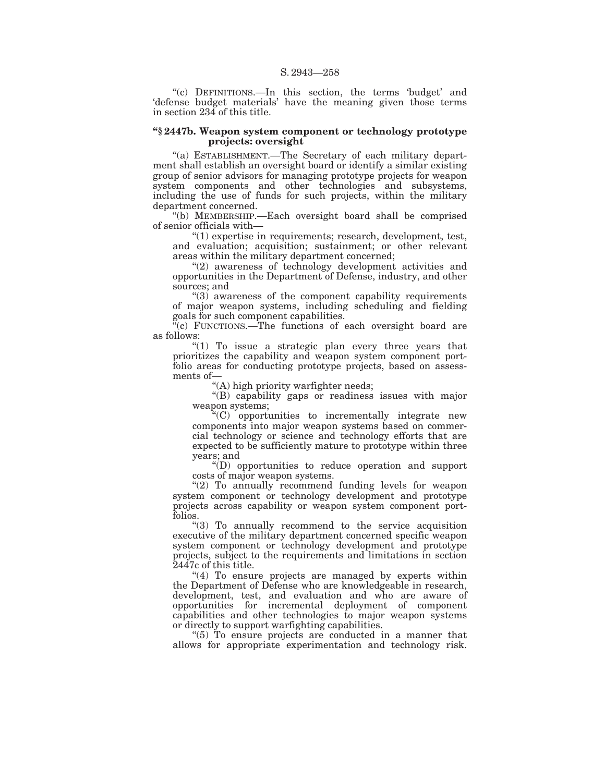"(c) DEFINITIONS.—In this section, the terms 'budget' and 'defense budget materials' have the meaning given those terms in section 234 of this title.

#### **''§ 2447b. Weapon system component or technology prototype projects: oversight**

''(a) ESTABLISHMENT.—The Secretary of each military department shall establish an oversight board or identify a similar existing group of senior advisors for managing prototype projects for weapon system components and other technologies and subsystems, including the use of funds for such projects, within the military department concerned.

''(b) MEMBERSHIP.—Each oversight board shall be comprised of senior officials with—

 $(1)$  expertise in requirements; research, development, test, and evaluation; acquisition; sustainment; or other relevant areas within the military department concerned;

"(2) awareness of technology development activities and opportunities in the Department of Defense, industry, and other sources; and

 $(3)$  awareness of the component capability requirements of major weapon systems, including scheduling and fielding goals for such component capabilities.

 $\mathbb{F}_c$  FUNCTIONS.—The functions of each oversight board are as follows:

"(1) To issue a strategic plan every three years that prioritizes the capability and weapon system component portfolio areas for conducting prototype projects, based on assessments of—

''(A) high priority warfighter needs;

''(B) capability gaps or readiness issues with major weapon systems;

 $(C)$  opportunities to incrementally integrate new components into major weapon systems based on commercial technology or science and technology efforts that are expected to be sufficiently mature to prototype within three years; and

''(D) opportunities to reduce operation and support costs of major weapon systems.

"(2) To annually recommend funding levels for weapon system component or technology development and prototype projects across capability or weapon system component portfolios.

''(3) To annually recommend to the service acquisition executive of the military department concerned specific weapon system component or technology development and prototype projects, subject to the requirements and limitations in section 2447c of this title.

" $(4)$  To ensure projects are managed by experts within the Department of Defense who are knowledgeable in research, development, test, and evaluation and who are aware of opportunities for incremental deployment of component capabilities and other technologies to major weapon systems or directly to support warfighting capabilities.

" $(5)$  To ensure projects are conducted in a manner that allows for appropriate experimentation and technology risk.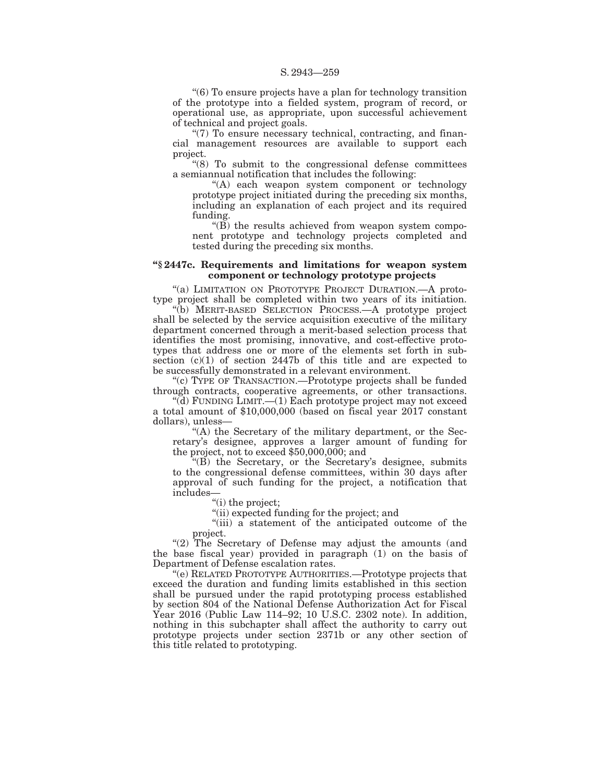''(6) To ensure projects have a plan for technology transition of the prototype into a fielded system, program of record, or operational use, as appropriate, upon successful achievement of technical and project goals.

"(7) To ensure necessary technical, contracting, and financial management resources are available to support each project.

''(8) To submit to the congressional defense committees a semiannual notification that includes the following:

''(A) each weapon system component or technology prototype project initiated during the preceding six months, including an explanation of each project and its required funding.

''(B) the results achieved from weapon system component prototype and technology projects completed and tested during the preceding six months.

### **''§ 2447c. Requirements and limitations for weapon system component or technology prototype projects**

"(a) LIMITATION ON PROTOTYPE PROJECT DURATION.—A prototype project shall be completed within two years of its initiation.

''(b) MERIT-BASED SELECTION PROCESS.—A prototype project shall be selected by the service acquisition executive of the military department concerned through a merit-based selection process that identifies the most promising, innovative, and cost-effective prototypes that address one or more of the elements set forth in subsection (c)(1) of section 2447b of this title and are expected to be successfully demonstrated in a relevant environment.

''(c) TYPE OF TRANSACTION.—Prototype projects shall be funded through contracts, cooperative agreements, or other transactions.

''(d) FUNDING LIMIT.—(1) Each prototype project may not exceed a total amount of \$10,000,000 (based on fiscal year 2017 constant dollars), unless—

''(A) the Secretary of the military department, or the Secretary's designee, approves a larger amount of funding for the project, not to exceed \$50,000,000; and

''(B) the Secretary, or the Secretary's designee, submits to the congressional defense committees, within 30 days after approval of such funding for the project, a notification that includes—

"(i) the project;

''(ii) expected funding for the project; and

''(iii) a statement of the anticipated outcome of the project.

"(2) The Secretary of Defense may adjust the amounts (and the base fiscal year) provided in paragraph (1) on the basis of Department of Defense escalation rates.

''(e) RELATED PROTOTYPE AUTHORITIES.—Prototype projects that exceed the duration and funding limits established in this section shall be pursued under the rapid prototyping process established by section 804 of the National Defense Authorization Act for Fiscal Year 2016 (Public Law 114–92; 10 U.S.C. 2302 note). In addition, nothing in this subchapter shall affect the authority to carry out prototype projects under section 2371b or any other section of this title related to prototyping.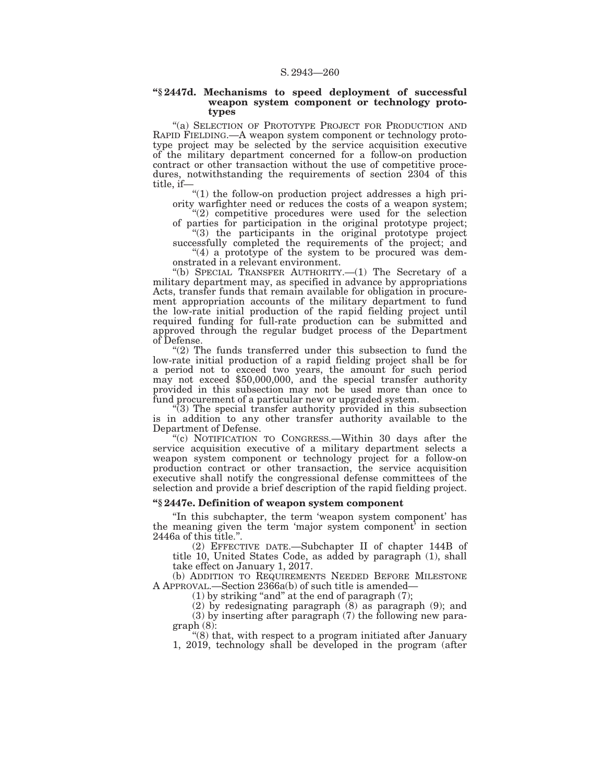#### **''§ 2447d. Mechanisms to speed deployment of successful weapon system component or technology prototypes**

"(a) SELECTION OF PROTOTYPE PROJECT FOR PRODUCTION AND RAPID FIELDING.—A weapon system component or technology prototype project may be selected by the service acquisition executive of the military department concerned for a follow-on production contract or other transaction without the use of competitive procedures, notwithstanding the requirements of section 2304 of this title, if—

''(1) the follow-on production project addresses a high priority warfighter need or reduces the costs of a weapon system;

"(2) competitive procedures were used for the selection of parties for participation in the original prototype project; ''(3) the participants in the original prototype project

successfully completed the requirements of the project; and "(4) a prototype of the system to be procured was dem-

onstrated in a relevant environment.

''(b) SPECIAL TRANSFER AUTHORITY.—(1) The Secretary of a military department may, as specified in advance by appropriations Acts, transfer funds that remain available for obligation in procurement appropriation accounts of the military department to fund the low-rate initial production of the rapid fielding project until required funding for full-rate production can be submitted and approved through the regular budget process of the Department of Defense.

" $(2)$  The funds transferred under this subsection to fund the low-rate initial production of a rapid fielding project shall be for a period not to exceed two years, the amount for such period may not exceed \$50,000,000, and the special transfer authority provided in this subsection may not be used more than once to fund procurement of a particular new or upgraded system.

 $\sqrt[4]{(3)}$  The special transfer authority provided in this subsection is in addition to any other transfer authority available to the Department of Defense.

"(c) NOTIFICATION TO CONGRESS.—Within 30 days after the service acquisition executive of a military department selects a weapon system component or technology project for a follow-on production contract or other transaction, the service acquisition executive shall notify the congressional defense committees of the selection and provide a brief description of the rapid fielding project.

## **''§ 2447e. Definition of weapon system component**

''In this subchapter, the term 'weapon system component' has the meaning given the term 'major system component' in section 2446a of this title."

(2) EFFECTIVE DATE.—Subchapter II of chapter 144B of title 10, United States Code, as added by paragraph (1), shall take effect on January 1, 2017.

(b) ADDITION TO REQUIREMENTS NEEDED BEFORE MILESTONE A APPROVAL.—Section 2366a(b) of such title is amended—

 $(1)$  by striking "and" at the end of paragraph  $(7)$ ;

(2) by redesignating paragraph (8) as paragraph (9); and

(3) by inserting after paragraph (7) the following new paragraph (8):

''(8) that, with respect to a program initiated after January 1, 2019, technology shall be developed in the program (after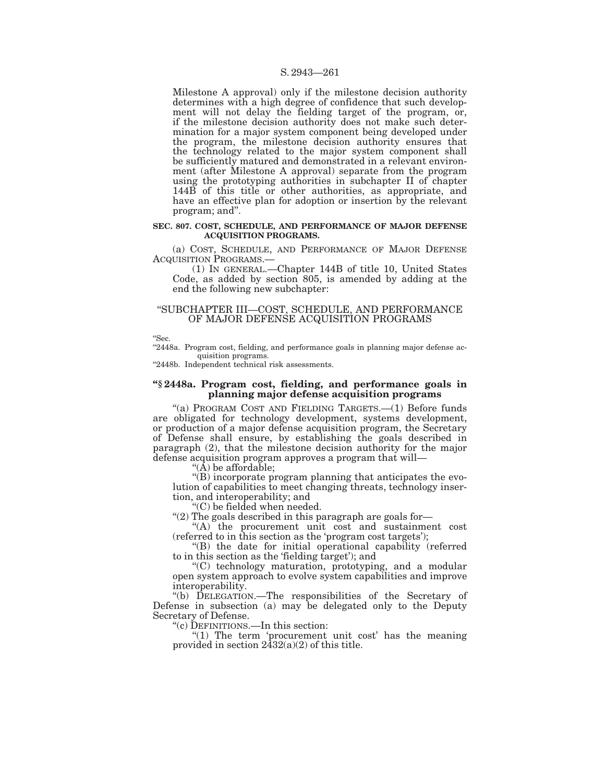#### S. 2943—261

Milestone A approval) only if the milestone decision authority determines with a high degree of confidence that such development will not delay the fielding target of the program, or, if the milestone decision authority does not make such determination for a major system component being developed under the program, the milestone decision authority ensures that the technology related to the major system component shall be sufficiently matured and demonstrated in a relevant environment (after Milestone A approval) separate from the program using the prototyping authorities in subchapter II of chapter 144B of this title or other authorities, as appropriate, and have an effective plan for adoption or insertion by the relevant program; and''.

#### **SEC. 807. COST, SCHEDULE, AND PERFORMANCE OF MAJOR DEFENSE ACQUISITION PROGRAMS.**

(a) COST, SCHEDULE, AND PERFORMANCE OF MAJOR DEFENSE ACQUISITION PROGRAMS.—

(1) IN GENERAL.—Chapter 144B of title 10, United States Code, as added by section 805, is amended by adding at the end the following new subchapter:

## ''SUBCHAPTER III—COST, SCHEDULE, AND PERFORMANCE OF MAJOR DEFENSE ACQUISITION PROGRAMS

''Sec.

"2448a. Program cost, fielding, and performance goals in planning major defense acquisition programs.

"2448b. Independent technical risk assessments.

### **''§ 2448a. Program cost, fielding, and performance goals in planning major defense acquisition programs**

"(a) PROGRAM COST AND FIELDING TARGETS. - (1) Before funds are obligated for technology development, systems development, or production of a major defense acquisition program, the Secretary of Defense shall ensure, by establishing the goals described in paragraph (2), that the milestone decision authority for the major defense acquisition program approves a program that will—

" $(\hat{A})$  be affordable;

''(B) incorporate program planning that anticipates the evolution of capabilities to meet changing threats, technology insertion, and interoperability; and

''(C) be fielded when needed.

''(2) The goals described in this paragraph are goals for—

"(A) the procurement unit cost and sustainment cost (referred to in this section as the 'program cost targets');

''(B) the date for initial operational capability (referred to in this section as the 'fielding target'); and

''(C) technology maturation, prototyping, and a modular open system approach to evolve system capabilities and improve interoperability.

''(b) DELEGATION.—The responsibilities of the Secretary of Defense in subsection (a) may be delegated only to the Deputy Secretary of Defense.

''(c) DEFINITIONS.—In this section:

"(1) The term 'procurement unit cost' has the meaning provided in section  $2\overline{4}32(a)(2)$  of this title.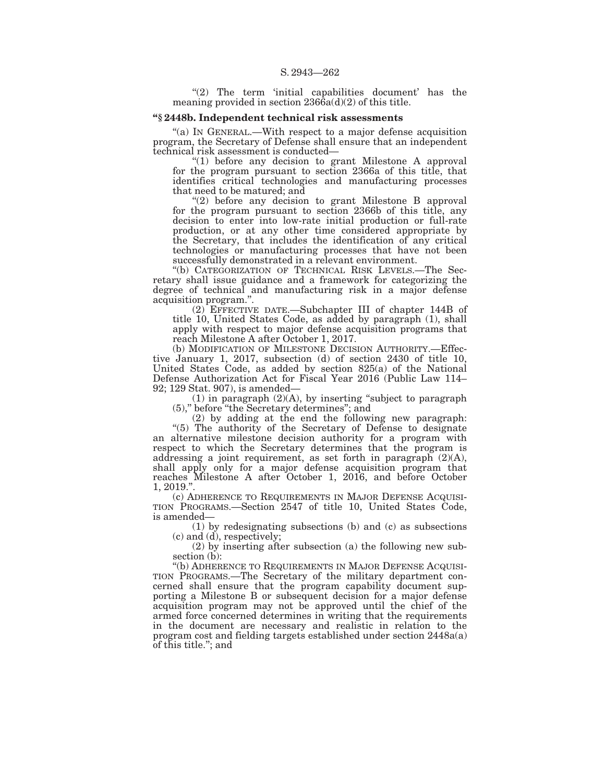" $(2)$  The term 'initial capabilities document' has the meaning provided in section  $236\hat{6}a(d)(2)$  of this title.

## **''§ 2448b. Independent technical risk assessments**

''(a) IN GENERAL.—With respect to a major defense acquisition program, the Secretary of Defense shall ensure that an independent technical risk assessment is conducted—

 $''(1)$  before any decision to grant Milestone A approval for the program pursuant to section 2366a of this title, that identifies critical technologies and manufacturing processes that need to be matured; and

"(2) before any decision to grant Milestone B approval for the program pursuant to section 2366b of this title, any decision to enter into low-rate initial production or full-rate production, or at any other time considered appropriate by the Secretary, that includes the identification of any critical technologies or manufacturing processes that have not been successfully demonstrated in a relevant environment.

''(b) CATEGORIZATION OF TECHNICAL RISK LEVELS.—The Secretary shall issue guidance and a framework for categorizing the degree of technical and manufacturing risk in a major defense acquisition program.''.

(2) EFFECTIVE DATE.—Subchapter III of chapter 144B of title 10, United States Code, as added by paragraph (1), shall apply with respect to major defense acquisition programs that reach Milestone A after October 1, 2017.

(b) MODIFICATION OF MILESTONE DECISION AUTHORITY.—Effective January 1, 2017, subsection (d) of section 2430 of title 10, United States Code, as added by section 825(a) of the National Defense Authorization Act for Fiscal Year 2016 (Public Law 114– 92; 129 Stat. 907), is amended—

(1) in paragraph  $(2)(A)$ , by inserting "subject to paragraph (5),'' before ''the Secretary determines''; and

(2) by adding at the end the following new paragraph:

"(5) The authority of the Secretary of Defense to designate an alternative milestone decision authority for a program with respect to which the Secretary determines that the program is addressing a joint requirement, as set forth in paragraph (2)(A), shall apply only for a major defense acquisition program that reaches Milestone A after October 1, 2016, and before October 1, 2019.''.

(c) ADHERENCE TO REQUIREMENTS IN MAJOR DEFENSE ACQUISI- TION PROGRAMS.—Section 2547 of title 10, United States Code, is amended—

(1) by redesignating subsections (b) and (c) as subsections (c) and (d), respectively;

(2) by inserting after subsection (a) the following new subsection (b):

''(b) ADHERENCE TO REQUIREMENTS IN MAJOR DEFENSE ACQUISI-TION PROGRAMS.—The Secretary of the military department concerned shall ensure that the program capability document supporting a Milestone B or subsequent decision for a major defense acquisition program may not be approved until the chief of the armed force concerned determines in writing that the requirements in the document are necessary and realistic in relation to the program cost and fielding targets established under section 2448a(a) of this title.''; and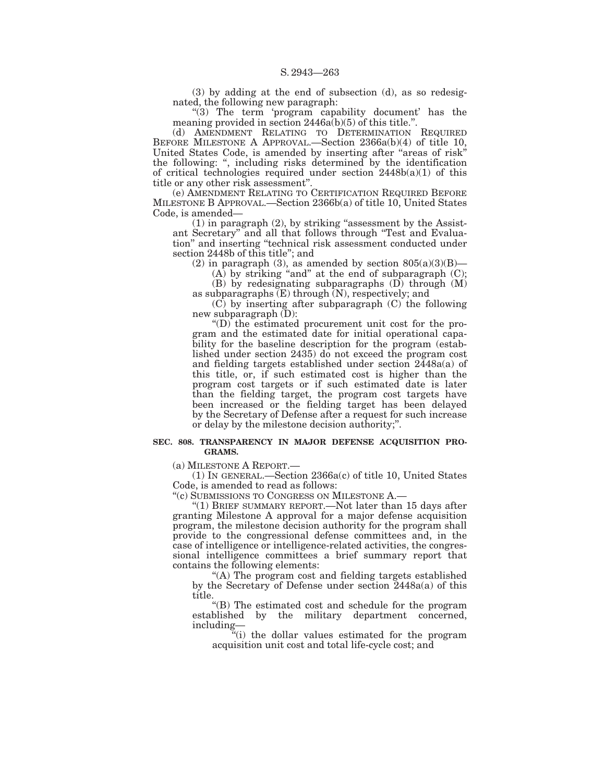(3) by adding at the end of subsection (d), as so redesignated, the following new paragraph:

"(3) The term 'program capability document' has the meaning provided in section 2446a(b)(5) of this title.''.

(d) AMENDMENT RELATING TO DETERMINATION REQUIRED BEFORE MILESTONE A APPROVAL.—Section 2366a(b)(4) of title 10, United States Code, is amended by inserting after ''areas of risk'' the following: '', including risks determined by the identification of critical technologies required under section  $2448b(a)(1)$  of this title or any other risk assessment''.

(e) AMENDMENT RELATING TO CERTIFICATION REQUIRED BEFORE MILESTONE B APPROVAL.—Section 2366b(a) of title 10, United States Code, is amended—

 $(1)$  in paragraph  $(2)$ , by striking "assessment by the Assistant Secretary'' and all that follows through ''Test and Evaluation'' and inserting ''technical risk assessment conducted under section 2448b of this title''; and

(2) in paragraph (3), as amended by section  $805(a)(3)(B)$ —

 $(A)$  by striking "and" at the end of subparagraph  $(C)$ ;

(B) by redesignating subparagraphs (D) through (M) as subparagraphs  $(E)$  through  $(N)$ , respectively; and

(C) by inserting after subparagraph (C) the following new subparagraph (D):

''(D) the estimated procurement unit cost for the program and the estimated date for initial operational capability for the baseline description for the program (established under section 2435) do not exceed the program cost and fielding targets established under section 2448a(a) of this title, or, if such estimated cost is higher than the program cost targets or if such estimated date is later than the fielding target, the program cost targets have been increased or the fielding target has been delayed by the Secretary of Defense after a request for such increase or delay by the milestone decision authority;''.

#### **SEC. 808. TRANSPARENCY IN MAJOR DEFENSE ACQUISITION PRO-GRAMS.**

(a) MILESTONE A REPORT.—

(1) IN GENERAL.—Section 2366a(c) of title 10, United States Code, is amended to read as follows:

''(c) SUBMISSIONS TO CONGRESS ON MILESTONE A.—

''(1) BRIEF SUMMARY REPORT.—Not later than 15 days after granting Milestone A approval for a major defense acquisition program, the milestone decision authority for the program shall provide to the congressional defense committees and, in the case of intelligence or intelligence-related activities, the congressional intelligence committees a brief summary report that contains the following elements:

''(A) The program cost and fielding targets established by the Secretary of Defense under section 2448a(a) of this title.

''(B) The estimated cost and schedule for the program established by the military department concerned, including—

''(i) the dollar values estimated for the program acquisition unit cost and total life-cycle cost; and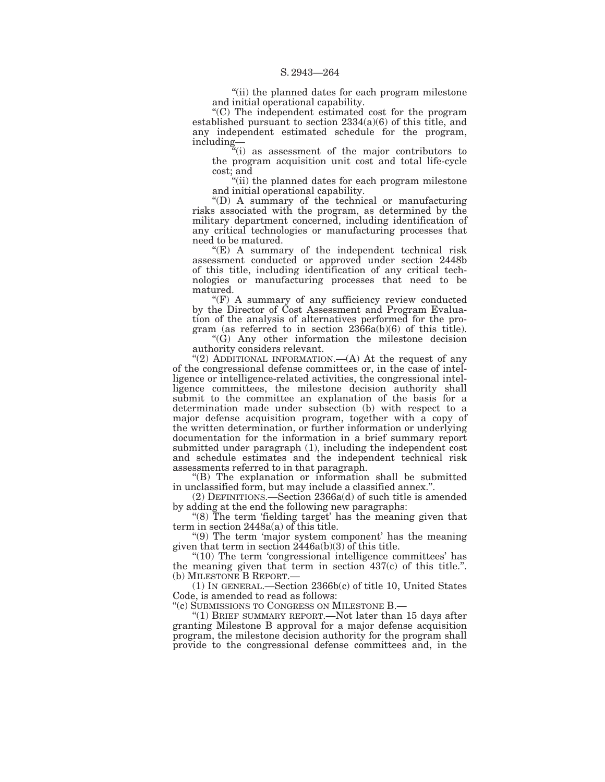"(ii) the planned dates for each program milestone and initial operational capability.

''(C) The independent estimated cost for the program established pursuant to section 2334(a)(6) of this title, and any independent estimated schedule for the program, including—

''(i) as assessment of the major contributors to the program acquisition unit cost and total life-cycle cost; and

"(ii) the planned dates for each program milestone" and initial operational capability.

''(D) A summary of the technical or manufacturing risks associated with the program, as determined by the military department concerned, including identification of any critical technologies or manufacturing processes that need to be matured.

"(E) A summary of the independent technical risk assessment conducted or approved under section 2448b of this title, including identification of any critical technologies or manufacturing processes that need to be matured.

 $(F)$  A summary of any sufficiency review conducted by the Director of Cost Assessment and Program Evaluation of the analysis of alternatives performed for the program (as referred to in section 2366a(b)(6) of this title).

''(G) Any other information the milestone decision authority considers relevant.

"(2) ADDITIONAL INFORMATION.—(A) At the request of any of the congressional defense committees or, in the case of intelligence or intelligence-related activities, the congressional intelligence committees, the milestone decision authority shall submit to the committee an explanation of the basis for a determination made under subsection (b) with respect to a major defense acquisition program, together with a copy of the written determination, or further information or underlying documentation for the information in a brief summary report submitted under paragraph (1), including the independent cost and schedule estimates and the independent technical risk assessments referred to in that paragraph.

''(B) The explanation or information shall be submitted in unclassified form, but may include a classified annex.''.

(2) DEFINITIONS.—Section 2366a(d) of such title is amended by adding at the end the following new paragraphs:

"(8) The term 'fielding target' has the meaning given that term in section 2448a(a) of this title.

''(9) The term 'major system component' has the meaning given that term in section  $2446a(b)(3)$  of this title.

"(10) The term 'congressional intelligence committees' has the meaning given that term in section  $437(c)$  of this title.". (b) MILESTONE B REPORT.—

(1) IN GENERAL.—Section 2366b(c) of title 10, United States Code, is amended to read as follows:

''(c) SUBMISSIONS TO CONGRESS ON MILESTONE B.—

"(1) BRIEF SUMMARY REPORT.—Not later than 15 days after granting Milestone B approval for a major defense acquisition program, the milestone decision authority for the program shall provide to the congressional defense committees and, in the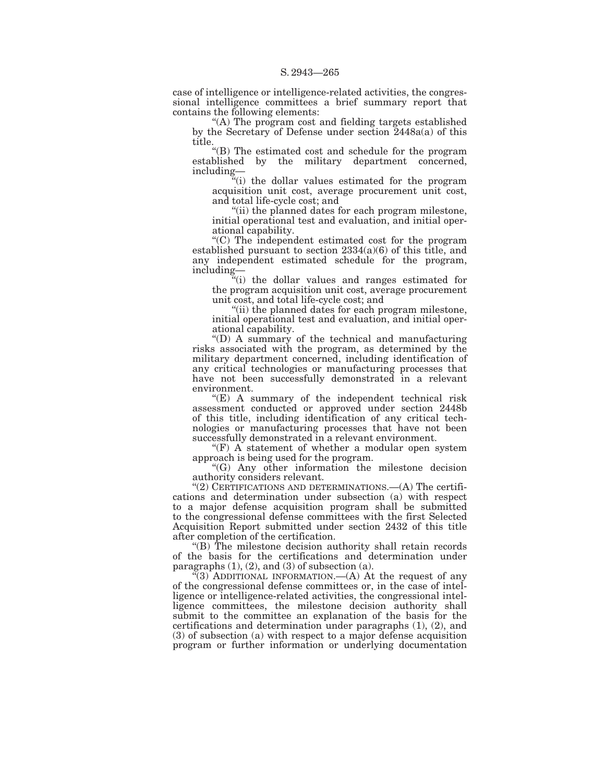case of intelligence or intelligence-related activities, the congressional intelligence committees a brief summary report that contains the following elements:

''(A) The program cost and fielding targets established by the Secretary of Defense under section 2448a(a) of this title.

''(B) The estimated cost and schedule for the program established by the military department concerned, including—

''(i) the dollar values estimated for the program acquisition unit cost, average procurement unit cost, and total life-cycle cost; and

''(ii) the planned dates for each program milestone, initial operational test and evaluation, and initial operational capability.

''(C) The independent estimated cost for the program established pursuant to section 2334(a)(6) of this title, and any independent estimated schedule for the program, including—

"(i) the dollar values and ranges estimated for the program acquisition unit cost, average procurement unit cost, and total life-cycle cost; and

''(ii) the planned dates for each program milestone, initial operational test and evaluation, and initial operational capability.

''(D) A summary of the technical and manufacturing risks associated with the program, as determined by the military department concerned, including identification of any critical technologies or manufacturing processes that have not been successfully demonstrated in a relevant environment.

 $E(E)$  A summary of the independent technical risk assessment conducted or approved under section 2448b of this title, including identification of any critical technologies or manufacturing processes that have not been successfully demonstrated in a relevant environment.

" $(F)$  A statement of whether a modular open system approach is being used for the program.

''(G) Any other information the milestone decision authority considers relevant.

" $(2)$  CERTIFICATIONS AND DETERMINATIONS.— $(A)$  The certifications and determination under subsection (a) with respect to a major defense acquisition program shall be submitted to the congressional defense committees with the first Selected Acquisition Report submitted under section 2432 of this title after completion of the certification.

''(B) The milestone decision authority shall retain records of the basis for the certifications and determination under paragraphs  $(1)$ ,  $(2)$ , and  $(3)$  of subsection  $(a)$ .

 $\mathcal{F}(3)$  ADDITIONAL INFORMATION.—(A) At the request of any of the congressional defense committees or, in the case of intelligence or intelligence-related activities, the congressional intelligence committees, the milestone decision authority shall submit to the committee an explanation of the basis for the certifications and determination under paragraphs (1), (2), and (3) of subsection (a) with respect to a major defense acquisition program or further information or underlying documentation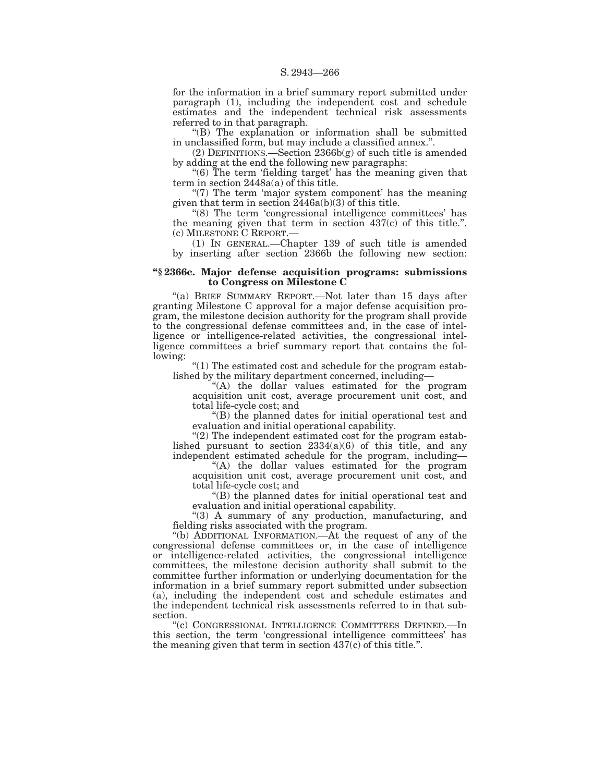for the information in a brief summary report submitted under paragraph (1), including the independent cost and schedule estimates and the independent technical risk assessments referred to in that paragraph.

''(B) The explanation or information shall be submitted in unclassified form, but may include a classified annex.''.

(2) DEFINITIONS.—Section 2366b(g) of such title is amended by adding at the end the following new paragraphs:

"(6) The term 'fielding target' has the meaning given that term in section  $2448a(a)$  of this title.

" $(7)$  The term 'major system component' has the meaning given that term in section  $2446a(b)(3)$  of this title.

''(8) The term 'congressional intelligence committees' has the meaning given that term in section 437(c) of this title.''. (c) MILESTONE C REPORT.—

(1) IN GENERAL.—Chapter 139 of such title is amended by inserting after section 2366b the following new section:

## **''§ 2366c. Major defense acquisition programs: submissions to Congress on Milestone C**

"(a) BRIEF SUMMARY REPORT.—Not later than 15 days after granting Milestone C approval for a major defense acquisition program, the milestone decision authority for the program shall provide to the congressional defense committees and, in the case of intelligence or intelligence-related activities, the congressional intelligence committees a brief summary report that contains the following:

" $(1)$  The estimated cost and schedule for the program established by the military department concerned, including—

''(A) the dollar values estimated for the program acquisition unit cost, average procurement unit cost, and total life-cycle cost; and

''(B) the planned dates for initial operational test and evaluation and initial operational capability.

" $(2)$  The independent estimated cost for the program established pursuant to section  $2334(a)(6)$  of this title, and any independent estimated schedule for the program, including—

''(A) the dollar values estimated for the program acquisition unit cost, average procurement unit cost, and total life-cycle cost; and

''(B) the planned dates for initial operational test and evaluation and initial operational capability.

''(3) A summary of any production, manufacturing, and fielding risks associated with the program.

''(b) ADDITIONAL INFORMATION.—At the request of any of the congressional defense committees or, in the case of intelligence or intelligence-related activities, the congressional intelligence committees, the milestone decision authority shall submit to the committee further information or underlying documentation for the information in a brief summary report submitted under subsection (a), including the independent cost and schedule estimates and the independent technical risk assessments referred to in that subsection.

''(c) CONGRESSIONAL INTELLIGENCE COMMITTEES DEFINED.—In this section, the term 'congressional intelligence committees' has the meaning given that term in section 437(c) of this title.''.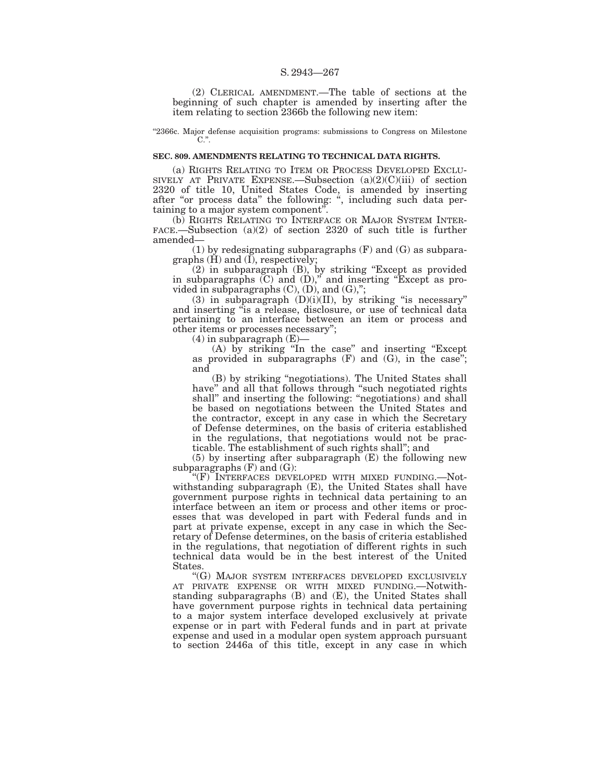#### S. 2943—267

(2) CLERICAL AMENDMENT.—The table of sections at the beginning of such chapter is amended by inserting after the item relating to section 2366b the following new item:

''2366c. Major defense acquisition programs: submissions to Congress on Milestone C.''.

## **SEC. 809. AMENDMENTS RELATING TO TECHNICAL DATA RIGHTS.**

(a) RIGHTS RELATING TO ITEM OR PROCESS DEVELOPED EXCLU-SIVELY AT PRIVATE EXPENSE.—Subsection  $(a)(2)(C)(iii)$  of section 2320 of title 10, United States Code, is amended by inserting after "or process data" the following: ", including such data pertaining to a major system component''.

(b) RIGHTS RELATING TO INTERFACE OR MAJOR SYSTEM INTER-FACE.—Subsection (a)(2) of section 2320 of such title is further amended—

(1) by redesignating subparagraphs (F) and (G) as subparagraphs (H) and (I), respectively;

(2) in subparagraph (B), by striking ''Except as provided in subparagraphs  $(C)$  and  $(D)$ ," and inserting "Except as provided in subparagraphs  $(C)$ ,  $(D)$ , and  $(G)$ ,";

(3) in subparagraph  $(D)(i)(II)$ , by striking "is necessary" and inserting ''is a release, disclosure, or use of technical data pertaining to an interface between an item or process and other items or processes necessary'';

 $(4)$  in subparagraph  $(E)$ —

(A) by striking ''In the case'' and inserting ''Except as provided in subparagraphs (F) and (G), in the case''; and

(B) by striking ''negotiations). The United States shall have" and all that follows through "such negotiated rights shall" and inserting the following: "negotiations) and shall be based on negotiations between the United States and the contractor, except in any case in which the Secretary of Defense determines, on the basis of criteria established in the regulations, that negotiations would not be practicable. The establishment of such rights shall''; and

(5) by inserting after subparagraph (E) the following new subparagraphs  $(F)$  and  $(G)$ :

''(F) INTERFACES DEVELOPED WITH MIXED FUNDING.—Notwithstanding subparagraph (E), the United States shall have government purpose rights in technical data pertaining to an interface between an item or process and other items or processes that was developed in part with Federal funds and in part at private expense, except in any case in which the Secretary of Defense determines, on the basis of criteria established in the regulations, that negotiation of different rights in such technical data would be in the best interest of the United States.

''(G) MAJOR SYSTEM INTERFACES DEVELOPED EXCLUSIVELY AT PRIVATE EXPENSE OR WITH MIXED FUNDING.—Notwithstanding subparagraphs (B) and (E), the United States shall have government purpose rights in technical data pertaining to a major system interface developed exclusively at private expense or in part with Federal funds and in part at private expense and used in a modular open system approach pursuant to section 2446a of this title, except in any case in which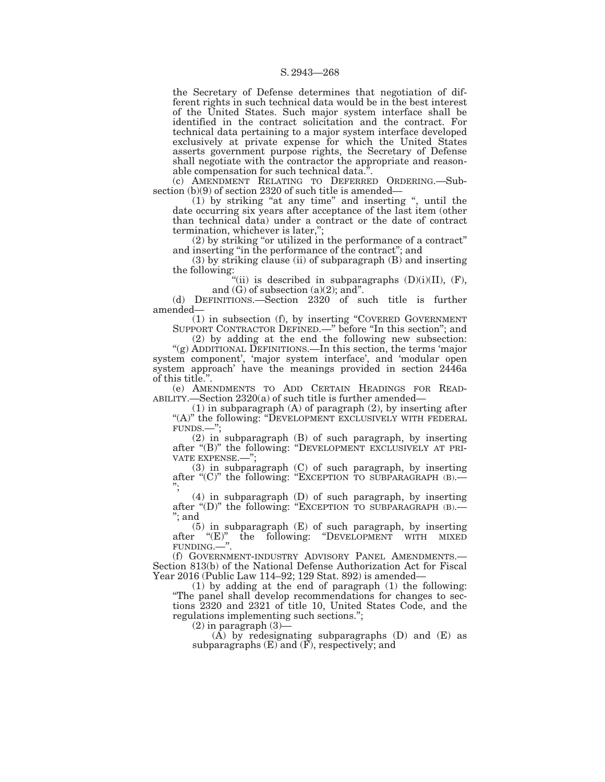the Secretary of Defense determines that negotiation of different rights in such technical data would be in the best interest of the United States. Such major system interface shall be identified in the contract solicitation and the contract. For technical data pertaining to a major system interface developed exclusively at private expense for which the United States asserts government purpose rights, the Secretary of Defense shall negotiate with the contractor the appropriate and reasonable compensation for such technical data.''.

(c) AMENDMENT RELATING TO DEFERRED ORDERING.—Subsection (b)(9) of section 2320 of such title is amended—

(1) by striking ''at any time'' and inserting '', until the date occurring six years after acceptance of the last item (other than technical data) under a contract or the date of contract termination, whichever is later,'';

(2) by striking ''or utilized in the performance of a contract'' and inserting ''in the performance of the contract''; and

(3) by striking clause (ii) of subparagraph (B) and inserting the following:

"(ii) is described in subparagraphs  $(D)(i)(II)$ ,  $(F)$ , and  $(G)$  of subsection  $(a)(2)$ ; and".

(d) DEFINITIONS.—Section 2320 of such title is further amended—

(1) in subsection (f), by inserting ''COVERED GOVERNMENT SUPPORT CONTRACTOR DEFINED.—" before "In this section"; and

(2) by adding at the end the following new subsection: "(g) ADDITIONAL DEFINITIONS.—In this section, the terms 'major system component', 'major system interface', and 'modular open system approach' have the meanings provided in section 2446a of this title.''.

(e) AMENDMENTS TO ADD CERTAIN HEADINGS FOR READ- ABILITY.—Section 2320(a) of such title is further amended—

(1) in subparagraph (A) of paragraph (2), by inserting after "(A)" the following: "DEVELOPMENT EXCLUSIVELY WITH FEDERAL FUNDS.—'';

(2) in subparagraph (B) of such paragraph, by inserting after "(B)" the following: "DEVELOPMENT EXCLUSIVELY AT PRI-VATE EXPENSE.—'';

(3) in subparagraph (C) of such paragraph, by inserting after " $(C)$ " the following: "EXCEPTION TO SUBPARAGRAPH  $(B)$ .

(4) in subparagraph (D) of such paragraph, by inserting after "(D)" the following: "EXCEPTION TO SUBPARAGRAPH (B).—<br>"; and

(5) in subparagraph (E) of such paragraph, by inserting after ''(E)'' the following: ''DEVELOPMENT WITH MIXED FUNDING.—''.

(f) GOVERNMENT-INDUSTRY ADVISORY PANEL AMENDMENTS.— Section 813(b) of the National Defense Authorization Act for Fiscal Year 2016 (Public Law 114–92; 129 Stat. 892) is amended—

(1) by adding at the end of paragraph (1) the following: ''The panel shall develop recommendations for changes to sections 2320 and 2321 of title 10, United States Code, and the regulations implementing such sections.'';

(2) in paragraph (3)—

 $(A)$  by redesignating subparagraphs  $(D)$  and  $(E)$  as subparagraphs (E) and (F), respectively; and